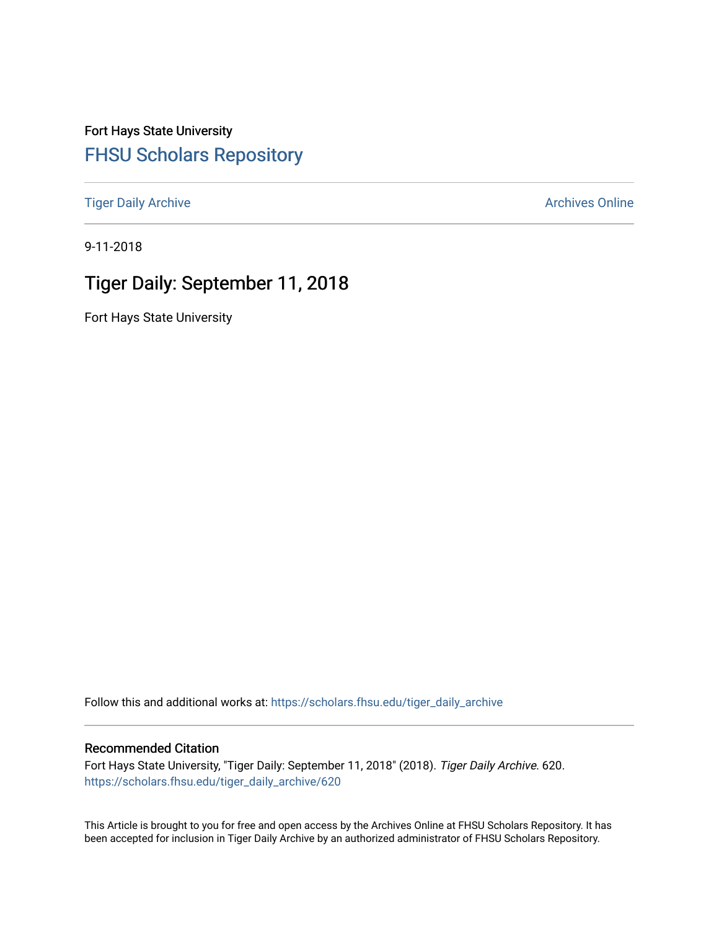Fort Hays State University [FHSU Scholars Repository](https://scholars.fhsu.edu/) 

[Tiger Daily Archive](https://scholars.fhsu.edu/tiger_daily_archive) **Archives** Online Archives Online

9-11-2018

# Tiger Daily: September 11, 2018

Fort Hays State University

Follow this and additional works at: [https://scholars.fhsu.edu/tiger\\_daily\\_archive](https://scholars.fhsu.edu/tiger_daily_archive?utm_source=scholars.fhsu.edu%2Ftiger_daily_archive%2F620&utm_medium=PDF&utm_campaign=PDFCoverPages)

#### Recommended Citation

Fort Hays State University, "Tiger Daily: September 11, 2018" (2018). Tiger Daily Archive. 620. [https://scholars.fhsu.edu/tiger\\_daily\\_archive/620](https://scholars.fhsu.edu/tiger_daily_archive/620?utm_source=scholars.fhsu.edu%2Ftiger_daily_archive%2F620&utm_medium=PDF&utm_campaign=PDFCoverPages)

This Article is brought to you for free and open access by the Archives Online at FHSU Scholars Repository. It has been accepted for inclusion in Tiger Daily Archive by an authorized administrator of FHSU Scholars Repository.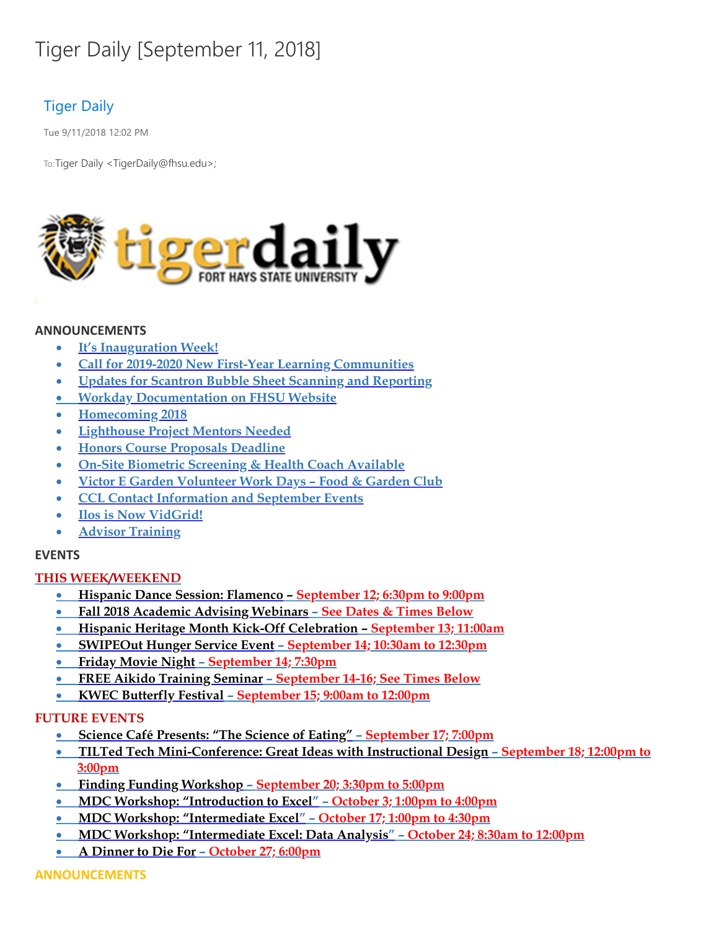# Tiger Daily [September 11, 2018]

# Tiger Daily

Tue 9/11/2018 12:02 PM

To: Tiger Daily < TigerDaily@fhsu.edu>;



#### **ANNOUNCEMENTS**

- · **It's Inauguration Week!**
- · **Call for 2019-2020 New First-Year Learning Communities**
- · **Updates for Scantron Bubble Sheet Scanning and Reporting**
- · **Workday [Documentation](#page-3-0) on FHSU Website**
- · **Homecoming 2018**
- · **Lighthouse Project Mentors Needed**
- · **Honors Course Proposals Deadline**
- · **On-Site Biometric Screening & Health Coach Available**
- · **Victor E Garden Volunteer Work Days – Food & Garden Club**
- · **CCL Contact [Information](#page-8-0) and September Events**
- · **Ilos is Now [VidGrid!](#page-9-0)**
- · **Advisor Training**

## **EVENTS**

#### **THIS WEEK/WEEKEND**

- · **Hispanic Dance Session: Flamenco – September 12; 6:30pm to 9:00pm**
- · **Fall 2018 Academic Advising Webinars – See Dates & Times Below**
- · **Hispanic Heritage Month Kick-Off [Celebration](#page-11-0) – September 13; 11:00am**
- · **SWIPEOut Hunger Service Event – September 14; 10:30am to 12:30pm**
- · **Friday [Movie](#page-11-1) Night – September 14; 7:30pm**
- · **FREE Aikido Training Seminar – September 14-16; See Times Below**
- · **KWEC Butterfly Festival – September 15; 9:00am to 12:00pm**

#### **FUTURE EVENTS**

- · **Science Café Presents: "The Science of Eating" – September 17; 7:00pm**
- · **TILTed Tech Mini-Conference: Great Ideas with Instructional Design – September 18; 12:00pm to 3:00pm**
- · **Finding Funding Workshop – September 20; 3:30pm to 5:00pm**
- · **MDC Workshop: ["Introduction](#page-13-0) to Excel" – October 3; 1:00pm to 4:00pm**
- · **MDC Workshop: "Intermediate Excel" – October 17; 1:00pm to 4:30pm**
- · **MDC Workshop: "Intermediate Excel: Data Analysis" – October 24; 8:30am to 12:00pm**
- · **A Dinner to Die For – October 27; 6:00pm**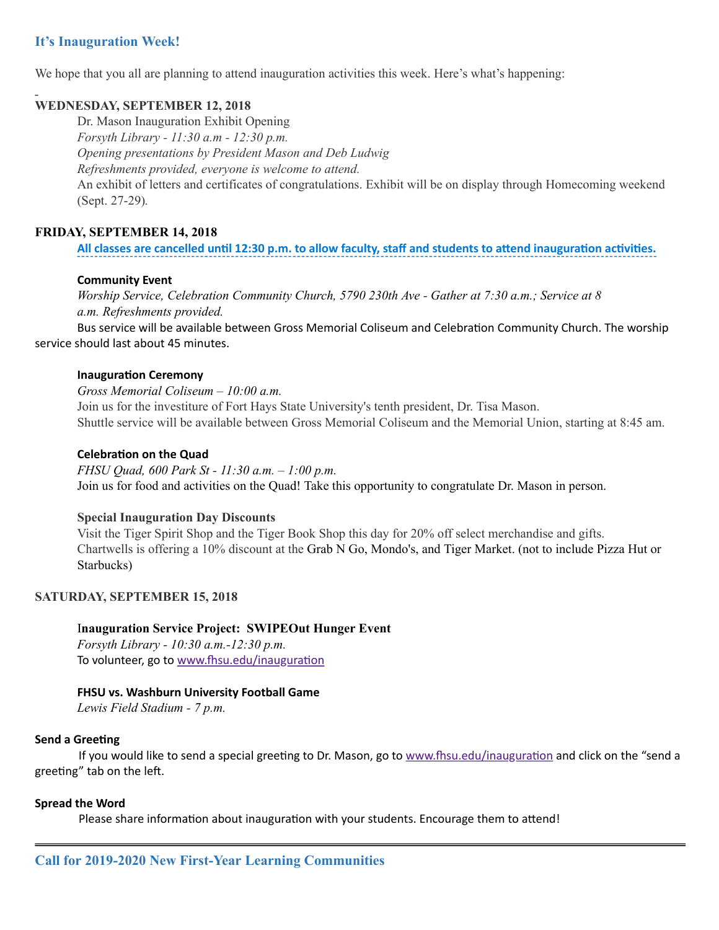## **It's Inauguration Week!**

We hope that you all are planning to attend inauguration activities this week. Here's what's happening:

#### **WEDNESDAY, SEPTEMBER 12, 2018**

Dr. Mason Inauguration Exhibit Opening *Forsyth Library - 11:30 a.m - 12:30 p.m. Opening presentations by President Mason and Deb Ludwig Refreshments provided, everyone is welcome to attend.* An exhibit of letters and certificates of congratulations. Exhibit will be on display through Homecoming weekend (Sept. 27-29)*.*

#### **FRIDAY, SEPTEMBER 14, 2018**

#### All classes are cancelled until 12:30 p.m. to allow faculty, staff and students to attend inauguration activities.

#### **Community Event**

*Worship Service, Celebration Community Church, 5790 230th Ave - Gather at 7:30 a.m.; Service at 8 a.m. Refreshments provided.*

Bus service will be available between Gross Memorial Coliseum and Celebration Community Church. The worship service should last about 45 minutes.

#### **Inauguration Ceremony**

*Gross Memorial Coliseum – 10:00 a.m.* Join us for the investiture of Fort Hays State University's tenth president, Dr. Tisa Mason. Shuttle service will be available between Gross Memorial Coliseum and the Memorial Union, starting at 8:45 am.

#### **Celebration on the Quad**

*FHSU Quad, 600 Park St - 11:30 a.m. – 1:00 p.m.* Join us for food and activities on the Quad! Take this opportunity to congratulate Dr. Mason in person.

#### **Special Inauguration Day Discounts**

Visit the Tiger Spirit Shop and the Tiger Book Shop this day for 20% off select merchandise and gifts. Chartwells is offering a 10% discount at the Grab N Go, Mondo's, and Tiger Market. (not to include Pizza Hut or Starbucks)

#### **SATURDAY, SEPTEMBER 15, 2018**

#### I**nauguration Service Project: SWIPEOut Hunger Event**

*Forsyth Library - 10:30 a.m.-12:30 p.m.* To volunteer, go to www.fhsu.edu/inauguration

#### **FHSU vs. Washburn University Football Game**

*Lewis Field Stadium - 7 p.m.*

#### **Send a Greeting**

If you would like to send a special greeting to Dr. Mason, go to www.fhsu.edu/inauguration and click on the "send a greeting" tab on the left.

#### **Spread the Word**

Please share information about inauguration with your students. Encourage them to attend!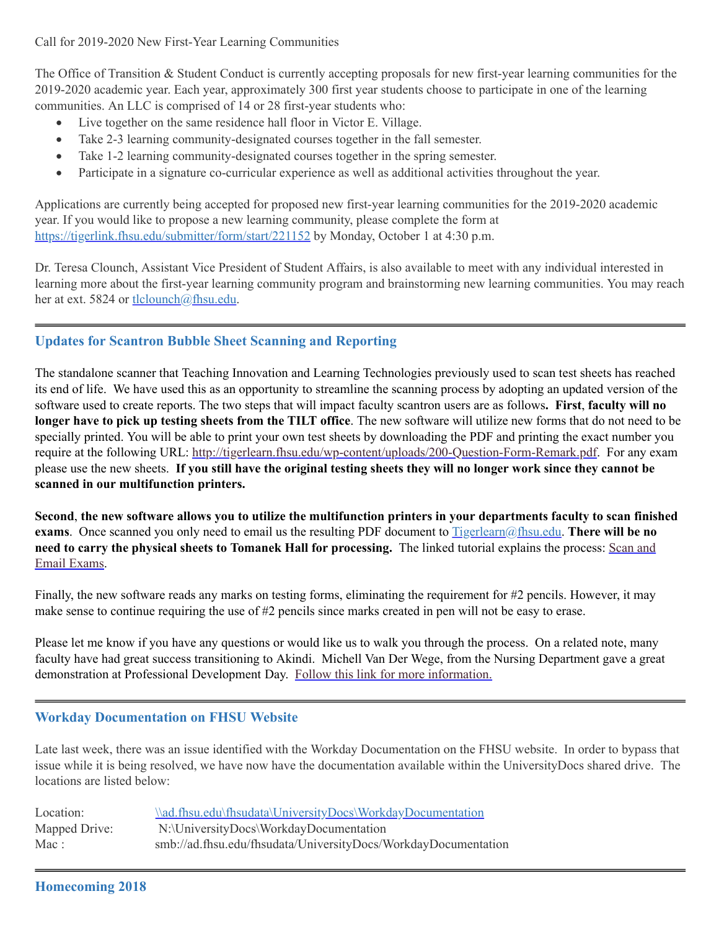Call for 2019-2020 New First-Year Learning Communities

The Office of Transition & Student Conduct is currently accepting proposals for new first-year learning communities for the 2019-2020 academic year. Each year, approximately 300 first year students choose to participate in one of the learning communities. An LLC is comprised of 14 or 28 first-year students who:

- Live together on the same residence hall floor in Victor E. Village.
- · Take 2-3 learning community-designated courses together in the fall semester.
- · Take 1-2 learning community-designated courses together in the spring semester.
- · Participate in a signature co-curricular experience as well as additional activities throughout the year.

Applications are currently being accepted for proposed new first-year learning communities for the 2019-2020 academic year. If you would like to propose a new learning community, please complete the form at <https://tigerlink.fhsu.edu/submitter/form/start/221152> by Monday, October 1 at 4:30 p.m.

Dr. Teresa Clounch, Assistant Vice President of Student Affairs, is also available to meet with any individual interested in learning more about the first-year learning community program and brainstorming new learning communities. You may reach her at ext. 5824 or [tlclounch@fhsu.edu.](mailto:tlclounch@fhsu.edu)

## **Updates for Scantron Bubble Sheet Scanning and Reporting**

The standalone scanner that Teaching Innovation and Learning Technologies previously used to scan test sheets has reached its end of life. We have used this as an opportunity to streamline the scanning process by adopting an updated version of the software used to create reports. The two steps that will impact faculty scantron users are as follows**. First**, **faculty will no longer have to pick up testing sheets from the TILT office**. The new software will utilize new forms that do not need to be specially printed. You will be able to print your own test sheets by downloading the PDF and printing the exact number you require at the following URL: <http://tigerlearn.fhsu.edu/wp-content/uploads/200-Question-Form-Remark.pdf>. For any exam please use the new sheets. If you still have the original testing sheets they will no longer work since they cannot be **scanned in our multifunction printers.**

<span id="page-3-0"></span>Second, the new software allows you to utilize the multifunction printers in your departments faculty to scan finished **exams**. Once scanned you only need to email us the resulting PDF document to [Tigerlearn@fhsu.edu](mailto:Tigerlearn@fhsu.edu). **There will be no need to carry the physical sheets to Tomanek Hall for [processing.](https://ilos.video/Q76dMF)** The linked tutorial explains the process: Scan and Email Exams.

Finally, the new software reads any marks on testing forms, eliminating the requirement for #2 pencils. However, it may make sense to continue requiring the use of #2 pencils since marks created in pen will not be easy to erase.

Please let me know if you have any questions or would like us to walk you through the process. On a related note, many faculty have had great success transitioning to Akindi. Michell Van Der Wege, from the Nursing Department gave a great demonstration at Professional Development Day. Follow this link for more [information.](http://tigerlearn.fhsu.edu/akindi/)

## **Workday Documentation on FHSU Website**

Late last week, there was an issue identified with the Workday Documentation on the FHSU website. In order to bypass that issue while it is being resolved, we have now have the documentation available within the UniversityDocs shared drive. The locations are listed below:

| Location:     | \\ad.fhsu.edu\fhsudata\UniversityDocs\WorkdayDocumentation     |
|---------------|----------------------------------------------------------------|
| Mapped Drive: | N:\UniversityDocs\WorkdayDocumentation                         |
| Mac:          | smb://ad.fhsu.edu/fhsudata/UniversityDocs/WorkdayDocumentation |

#### **Homecoming 2018**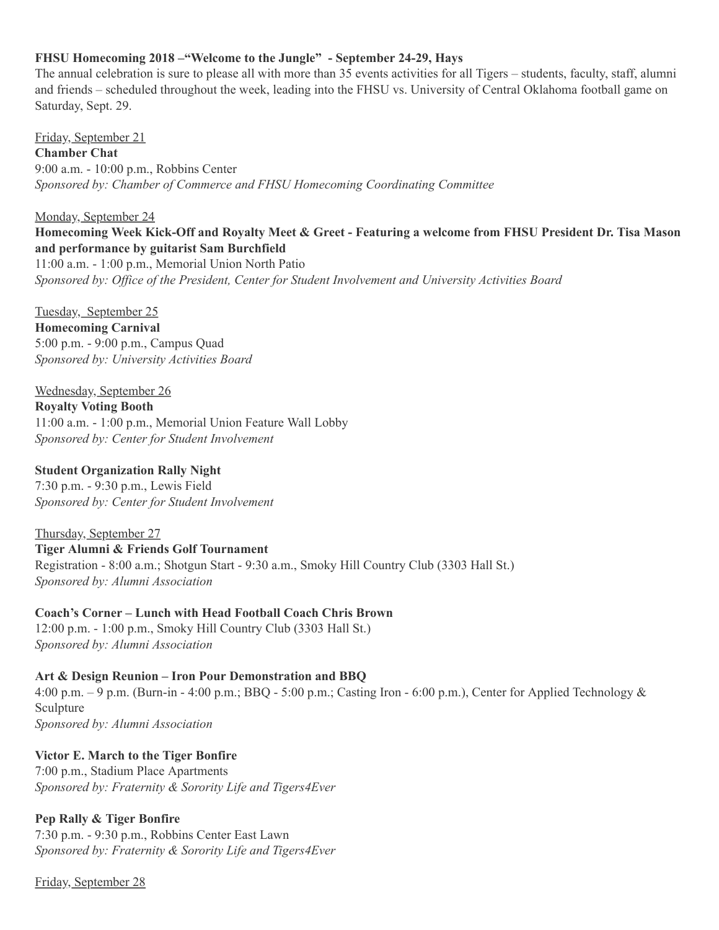#### **FHSU Homecoming 2018 –"Welcome to the Jungle" - September 24-29, Hays**

The annual celebration is sure to please all with more than 35 events activities for all Tigers – students, faculty, staff, alumni and friends – scheduled throughout the week, leading into the FHSU vs. University of Central Oklahoma football game on Saturday, Sept. 29.

Friday, September 21 **Chamber Chat** 9:00 a.m. - 10:00 p.m., Robbins Center *Sponsored by: Chamber of Commerce and FHSU Homecoming Coordinating Committee*

## Monday, September 24 Homecoming Week Kick-Off and Royalty Meet & Greet - Featuring a welcome from FHSU President Dr. Tisa Mason **and performance by guitarist Sam Burchfield**

11:00 a.m. - 1:00 p.m., Memorial Union North Patio *Sponsored by: Office of the President, Center for Student Involvement and University Activities Board*

Tuesday, September 25

**Homecoming Carnival** 5:00 p.m. - 9:00 p.m., Campus Quad *Sponsored by: University Activities Board*

#### Wednesday, September 26

**Royalty Voting Booth** 11:00 a.m. - 1:00 p.m., Memorial Union Feature Wall Lobby *Sponsored by: Center for Student Involvement*

#### **Student Organization Rally Night**

7:30 p.m. - 9:30 p.m., Lewis Field *Sponsored by: Center for Student Involvement*

Thursday, September 27 **Tiger Alumni & Friends Golf Tournament** Registration - 8:00 a.m.; Shotgun Start - 9:30 a.m., Smoky Hill Country Club (3303 Hall St.) *Sponsored by: Alumni Association*

**Coach's Corner – Lunch with Head Football Coach Chris Brown** 12:00 p.m. - 1:00 p.m., Smoky Hill Country Club (3303 Hall St.) *Sponsored by: Alumni Association*

**Art & Design Reunion – Iron Pour Demonstration and BBQ** 4:00 p.m. – 9 p.m. (Burn-in - 4:00 p.m.; BBQ - 5:00 p.m.; Casting Iron - 6:00 p.m.), Center for Applied Technology & Sculpture *Sponsored by: Alumni Association*

**Victor E. March to the Tiger Bonfire**

7:00 p.m., Stadium Place Apartments *Sponsored by: Fraternity & Sorority Life and Tigers4Ever*

#### **Pep Rally & Tiger Bonfire**

7:30 p.m. - 9:30 p.m., Robbins Center East Lawn *Sponsored by: Fraternity & Sorority Life and Tigers4Ever*

Friday, September 28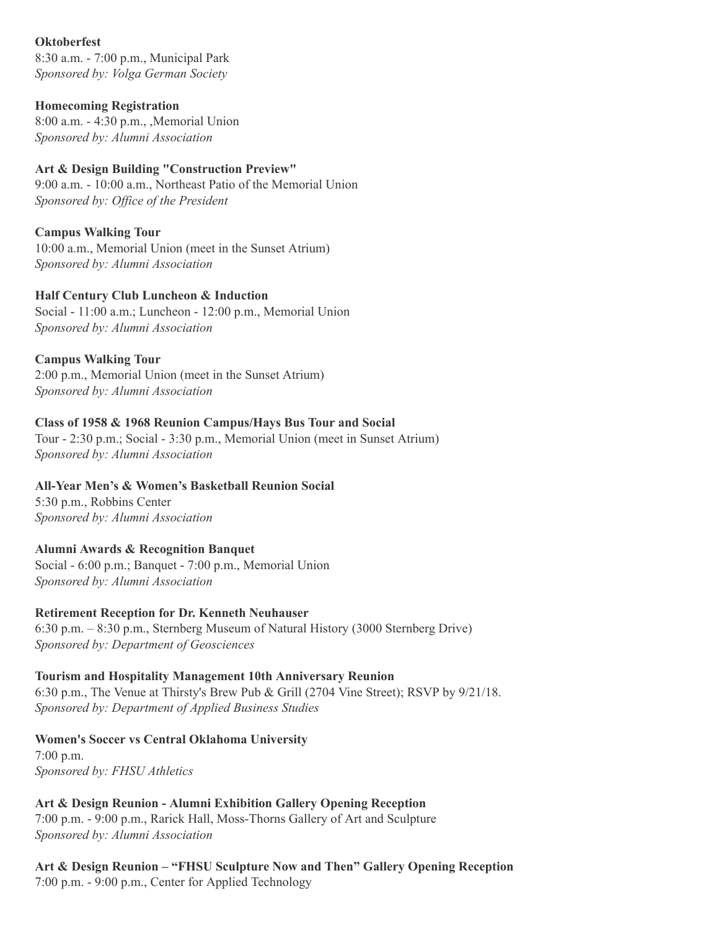#### **Oktoberfest**

8:30 a.m. - 7:00 p.m., Municipal Park *Sponsored by: Volga German Society*

#### **Homecoming Registration**

8:00 a.m. - 4:30 p.m., ,Memorial Union *Sponsored by: Alumni Association*

## **Art & Design Building "Construction Preview"**

9:00 a.m. - 10:00 a.m., Northeast Patio of the Memorial Union *Sponsored by: Office of the President*

## **Campus Walking Tour**

10:00 a.m., Memorial Union (meet in the Sunset Atrium) *Sponsored by: Alumni Association*

#### **Half Century Club Luncheon & Induction**

Social - 11:00 a.m.; Luncheon - 12:00 p.m., Memorial Union *Sponsored by: Alumni Association*

## **Campus Walking Tour**

2:00 p.m., Memorial Union (meet in the Sunset Atrium) *Sponsored by: Alumni Association*

## **Class of 1958 & 1968 Reunion Campus/Hays Bus Tour and Social**

Tour - 2:30 p.m.; Social - 3:30 p.m., Memorial Union (meet in Sunset Atrium) *Sponsored by: Alumni Association*

## **All-Year Men's & Women's Basketball Reunion Social**

5:30 p.m., Robbins Center *Sponsored by: Alumni Association*

## **Alumni Awards & Recognition Banquet**

Social - 6:00 p.m.; Banquet - 7:00 p.m., Memorial Union *Sponsored by: Alumni Association*

#### **Retirement Reception for Dr. Kenneth Neuhauser**

6:30 p.m. – 8:30 p.m., Sternberg Museum of Natural History (3000 Sternberg Drive) *Sponsored by: Department of Geosciences*

#### **Tourism and Hospitality Management 10th Anniversary Reunion**

6:30 p.m., The Venue at Thirsty's Brew Pub & Grill (2704 Vine Street); RSVP by 9/21/18. *Sponsored by: Department of Applied Business Studies*

#### **Women's Soccer vs Central Oklahoma University**

7:00 p.m. *Sponsored by: FHSU Athletics*

**Art & Design Reunion - Alumni Exhibition Gallery Opening Reception** 7:00 p.m. - 9:00 p.m., Rarick Hall, Moss-Thorns Gallery of Art and Sculpture *Sponsored by: Alumni Association*

**Art & Design Reunion – "FHSU Sculpture Now and Then" Gallery Opening Reception** 7:00 p.m. - 9:00 p.m., Center for Applied Technology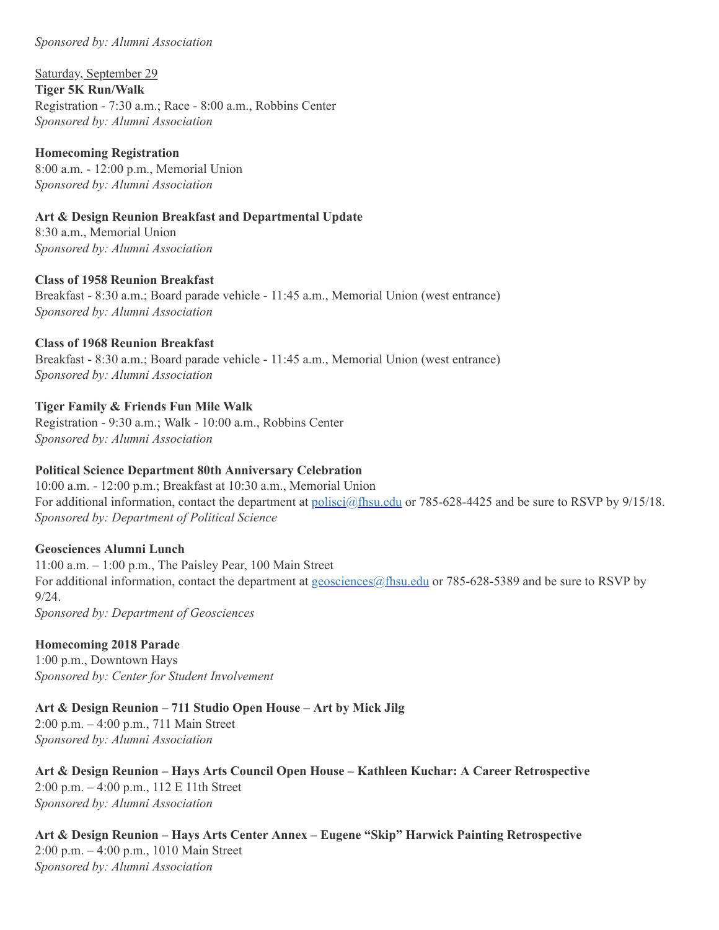#### *Sponsored by: Alumni Association*

Saturday, September 29 **Tiger 5K Run/Walk** Registration - 7:30 a.m.; Race - 8:00 a.m., Robbins Center *Sponsored by: Alumni Association*

**Homecoming Registration** 8:00 a.m. - 12:00 p.m., Memorial Union *Sponsored by: Alumni Association*

**Art & Design Reunion Breakfast and Departmental Update**

8:30 a.m., Memorial Union *Sponsored by: Alumni Association*

**Class of 1958 Reunion Breakfast** Breakfast - 8:30 a.m.; Board parade vehicle - 11:45 a.m., Memorial Union (west entrance) *Sponsored by: Alumni Association*

**Class of 1968 Reunion Breakfast** Breakfast - 8:30 a.m.; Board parade vehicle - 11:45 a.m., Memorial Union (west entrance) *Sponsored by: Alumni Association*

#### **Tiger Family & Friends Fun Mile Walk**

Registration - 9:30 a.m.; Walk - 10:00 a.m., Robbins Center *Sponsored by: Alumni Association*

#### **Political Science Department 80th Anniversary Celebration**

10:00 a.m. - 12:00 p.m.; Breakfast at 10:30 a.m., Memorial Union For additional information, contact the department at *[polisci@fhsu.edu](mailto:polisci@fhsu.edu)* or 785-628-4425 and be sure to RSVP by 9/15/18. *Sponsored by: Department of Political Science*

#### **Geosciences Alumni Lunch**

11:00 a.m. – 1:00 p.m., The Paisley Pear, 100 Main Street For additional information, contact the department at [geosciences@fhsu.edu](mailto:geosciences@fhsu.edu) or 785-628-5389 and be sure to RSVP by 9/24. *Sponsored by: Department of Geosciences*

#### **Homecoming 2018 Parade**

1:00 p.m., Downtown Hays *Sponsored by: Center for Student Involvement*

**Art & Design Reunion – 711 Studio Open House – Art by Mick Jilg**

2:00 p.m. – 4:00 p.m., 711 Main Street *Sponsored by: Alumni Association*

**Art & Design Reunion – Hays Arts Council Open House – Kathleen Kuchar: A Career Retrospective** 2:00 p.m. – 4:00 p.m., 112 E 11th Street *Sponsored by: Alumni Association*

**Art & Design Reunion – Hays Arts Center Annex – Eugene "Skip" Harwick Painting Retrospective** 2:00 p.m. – 4:00 p.m., 1010 Main Street *Sponsored by: Alumni Association*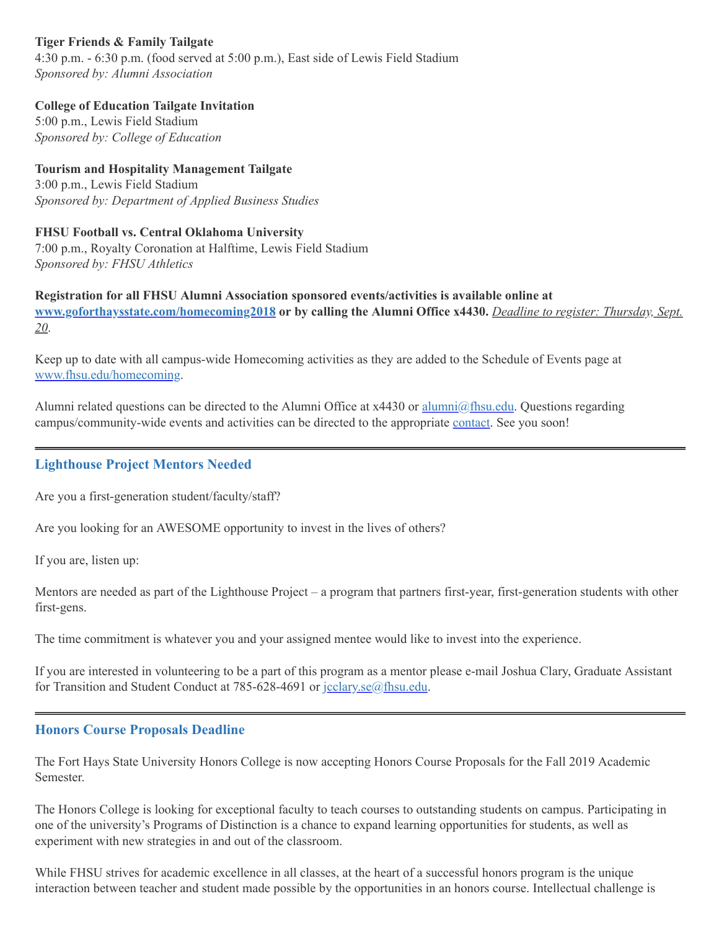## **Tiger Friends & Family Tailgate**

4:30 p.m. - 6:30 p.m. (food served at 5:00 p.m.), East side of Lewis Field Stadium *Sponsored by: Alumni Association*

#### **College of Education Tailgate Invitation**

5:00 p.m., Lewis Field Stadium *Sponsored by: College of Education*

**Tourism and Hospitality Management Tailgate** 3:00 p.m., Lewis Field Stadium *Sponsored by: Department of Applied Business Studies*

# **FHSU Football vs. Central Oklahoma University**

7:00 p.m., Royalty Coronation at Halftime, Lewis Field Stadium *Sponsored by: FHSU Athletics*

**Registration for all FHSU Alumni Association sponsored events/activities is available online at [www.goforthaysstate.com/homecoming2018](https://www.goforthaysstate.com/s/947/redesign/index.aspx?sid=947&gid=1&pgid=4483&appealcode=HC18FacStaffEm082718) or by calling the Alumni Office x4430.** *Deadline to register: Thursday, Sept. 20*.

Keep up to date with all campus-wide Homecoming activities as they are added to the Schedule of Events page at [www.fhsu.edu/homecoming.](http://www.fhsu.edu/homecoming)

Alumni related questions can be directed to the Alumni Office at x4430 or [alumni@fhsu.edu.](mailto:alumni@fhsu.edu) Questions regarding campus/community-wide events and activities can be directed to the appropriate [contact.](https://www.fhsu.edu/homecoming/contact/index) See you soon!

## **Lighthouse Project Mentors Needed**

Are you a first-generation student/faculty/staff?

Are you looking for an AWESOME opportunity to invest in the lives of others?

If you are, listen up:

Mentors are needed as part of the Lighthouse Project – a program that partners first-year, first-generation students with other first-gens.

The time commitment is whatever you and your assigned mentee would like to invest into the experience.

If you are interested in volunteering to be a part of this program as a mentor please e-mail Joshua Clary, Graduate Assistant for Transition and Student Conduct at 785-628-4691 or [jcclary.se@fhsu.edu](mailto:jcclary.se@fhsu.edu).

#### **Honors Course Proposals Deadline**

The Fort Hays State University Honors College is now accepting Honors Course Proposals for the Fall 2019 Academic Semester.

The Honors College is looking for exceptional faculty to teach courses to outstanding students on campus. Participating in one of the university's Programs of Distinction is a chance to expand learning opportunities for students, as well as experiment with new strategies in and out of the classroom.

While FHSU strives for academic excellence in all classes, at the heart of a successful honors program is the unique interaction between teacher and student made possible by the opportunities in an honors course. Intellectual challenge is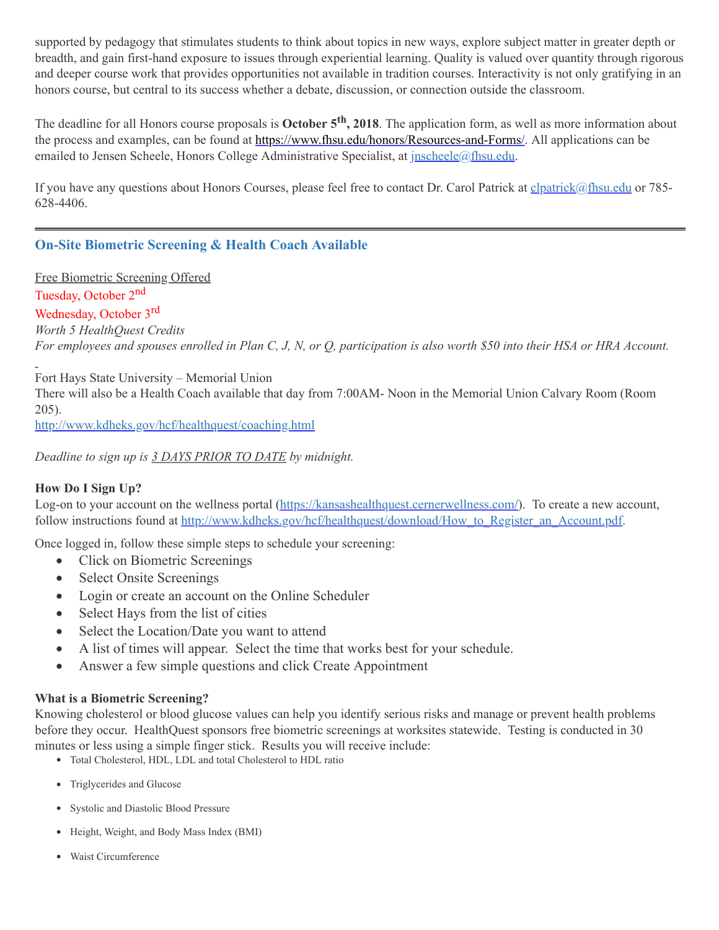supported by pedagogy that stimulates students to think about topics in new ways, explore subject matter in greater depth or breadth, and gain first-hand exposure to issues through experiential learning. Quality is valued over quantity through rigorous and deeper course work that provides opportunities not available in tradition courses. Interactivity is not only gratifying in an honors course, but central to its success whether a debate, discussion, or connection outside the classroom.

The deadline for all Honors course proposals is **October 5 th , 2018**. The application form, as well as more information about the process and examples, can be found at <https://www.fhsu.edu/honors/Resources-and-Forms/>. All applications can be emailed to Jensen Scheele, Honors College Administrative Specialist, at *[jnscheele@fhsu.edu.](mailto:jnscheele@fhsu.edu)* 

If you have any questions about Honors Courses, please feel free to contact Dr. Carol Patrick at [clpatrick@fhsu.edu](mailto:clpatrick@fhsu.edu) or 785-628-4406.

## **On-Site Biometric Screening & Health Coach Available**

Free Biometric Screening Offered

Tuesday, October 2<sup>nd</sup>

Wednesday, October 3<sup>rd</sup>

*Worth 5 HealthQuest Credits*

For employees and spouses enrolled in Plan C, J, N, or Q, participation is also worth \$50 into their HSA or HRA Account.

Fort Hays State University – Memorial Union

There will also be a Health Coach available that day from 7:00AM- Noon in the Memorial Union Calvary Room (Room 205).

<http://www.kdheks.gov/hcf/healthquest/coaching.html>

*Deadline to sign up is 3 DAYS PRIOR TO DATE by midnight.*

#### **How Do I Sign Up?**

Log-on to your account on the wellness portal [\(https://kansashealthquest.cernerwellness.com/\)](https://kansashealthquest.cernerwellness.com/). To create a new account, follow instructions found at [http://www.kdheks.gov/hcf/healthquest/download/How\\_to\\_Register\\_an\\_Account.pdf](http://www.kdheks.gov/hcf/healthquest/download/How_to_Register_an_Account.pdf).

Once logged in, follow these simple steps to schedule your screening:

- Click on Biometric Screenings
- Select Onsite Screenings
- Login or create an account on the Online Scheduler
- Select Hays from the list of cities
- Select the Location/Date you want to attend
- · A list of times will appear. Select the time that works best for your schedule.
- <span id="page-8-0"></span>• Answer a few simple questions and click Create Appointment

#### **What is a Biometric Screening?**

Knowing cholesterol or blood glucose values can help you identify serious risks and manage or prevent health problems before they occur. HealthQuest sponsors free biometric screenings at worksites statewide. Testing is conducted in 30 minutes or less using a simple finger stick. Results you will receive include:

- Total Cholesterol, HDL, LDL and total Cholesterol to HDL ratio
- Triglycerides and Glucose
- Systolic and Diastolic Blood Pressure
- Height, Weight, and Body Mass Index (BMI)
- Waist Circumference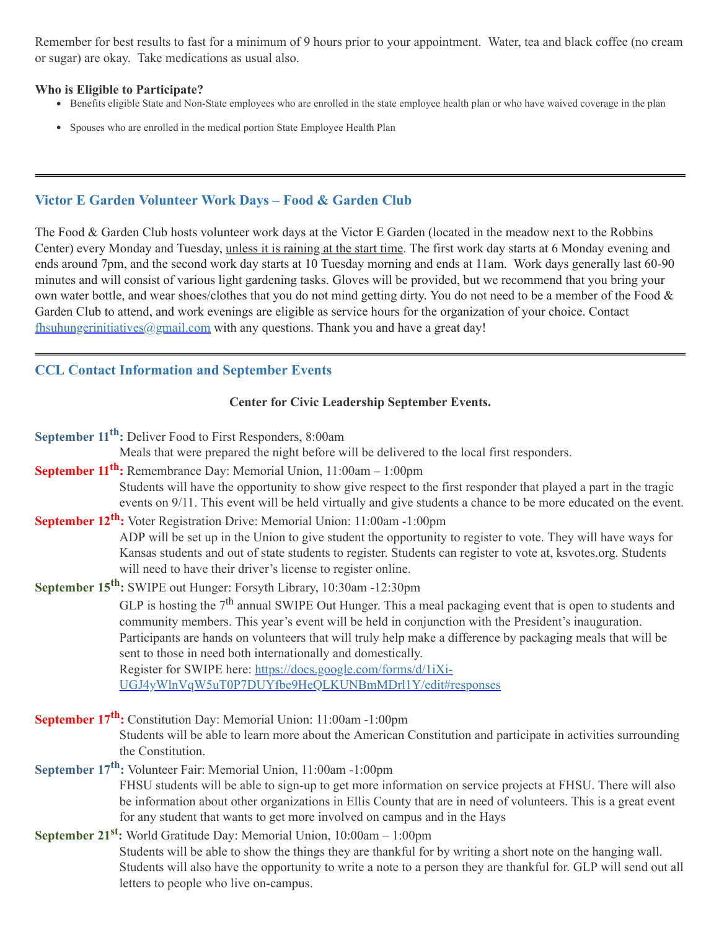Remember for best results to fast for a minimum of 9 hours prior to your appointment. Water, tea and black coffee (no cream or sugar) are okay. Take medications as usual also.

#### **Who is Eligible to Participate?**

- Benefits eligible State and Non-State employees who are enrolled in the state employee health plan or who have waived coverage in the plan
- Spouses who are enrolled in the medical portion State Employee Health Plan

## **Victor E Garden Volunteer Work Days – Food & Garden Club**

The Food & Garden Club hosts volunteer work days at the Victor E Garden (located in the meadow next to the Robbins Center) every Monday and Tuesday, unless it is raining at the start time. The first work day starts at 6 Monday evening and ends around 7pm, and the second work day starts at 10 Tuesday morning and ends at 11am. Work days generally last 60-90 minutes and will consist of various light gardening tasks. Gloves will be provided, but we recommend that you bring your own water bottle, and wear shoes/clothes that you do not mind getting dirty. You do not need to be a member of the Food & Garden Club to attend, and work evenings are eligible as service hours for the organization of your choice. Contact fhsuhungerinitiatives $@g$  mail.com with any questions. Thank you and have a great day!

## **CCL Contact Information and September Events**

#### **Center for Civic Leadership September Events.**

**September 11 th :** Deliver Food to First Responders, 8:00am

Meals that were prepared the night before will be delivered to the local first responders.

**September 11 th :** Remembrance Day: Memorial Union, 11:00am – 1:00pm

Students will have the opportunity to show give respect to the first responder that played a part in the tragic events on 9/11. This event will be held virtually and give students a chance to be more educated on the event.

## **September 12 th :** Voter Registration Drive: Memorial Union: 11:00am -1:00pm

ADP will be set up in the Union to give student the opportunity to register to vote. They will have ways for Kansas students and out of state students to register. Students can register to vote at, ksvotes.org. Students will need to have their driver's license to register online.

**September 15 th :** SWIPE out Hunger: Forsyth Library, 10:30am -12:30pm

GLP is hosting the  $7<sup>th</sup>$  annual SWIPE Out Hunger. This a meal packaging event that is open to students and community members. This year's event will be held in conjunction with the President's inauguration. Participants are hands on volunteers that will truly help make a difference by packaging meals that will be sent to those in need both internationally and domestically. Register for SWIPE here: https://docs.google.com/forms/d/1iXi-

[UGJ4yWlnVqW5uT0P7DUYfbe9HeQLKUNBmMDrl1Y/edit#responses](https://docs.google.com/forms/d/1iXi-UGJ4yWlnVqW5uT0P7DUYfbe9HeQLKUNBmMDrl1Y/edit#responses)

**September 17 th :** Constitution Day: Memorial Union: 11:00am -1:00pm

Students will be able to learn more about the American Constitution and participate in activities surrounding the Constitution.

# **September 17 th :** Volunteer Fair: Memorial Union, 11:00am -1:00pm

<span id="page-9-0"></span>FHSU students will be able to sign-up to get more information on service projects at FHSU. There will also be information about other organizations in Ellis County that are in need of volunteers. This is a great event for any student that wants to get more involved on campus and in the Hays

# **September 21 st :** World Gratitude Day: Memorial Union, 10:00am – 1:00pm

Students will be able to show the things they are thankful for by writing a short note on the hanging wall. Students will also have the opportunity to write a note to a person they are thankful for. GLP will send out all letters to people who live on-campus.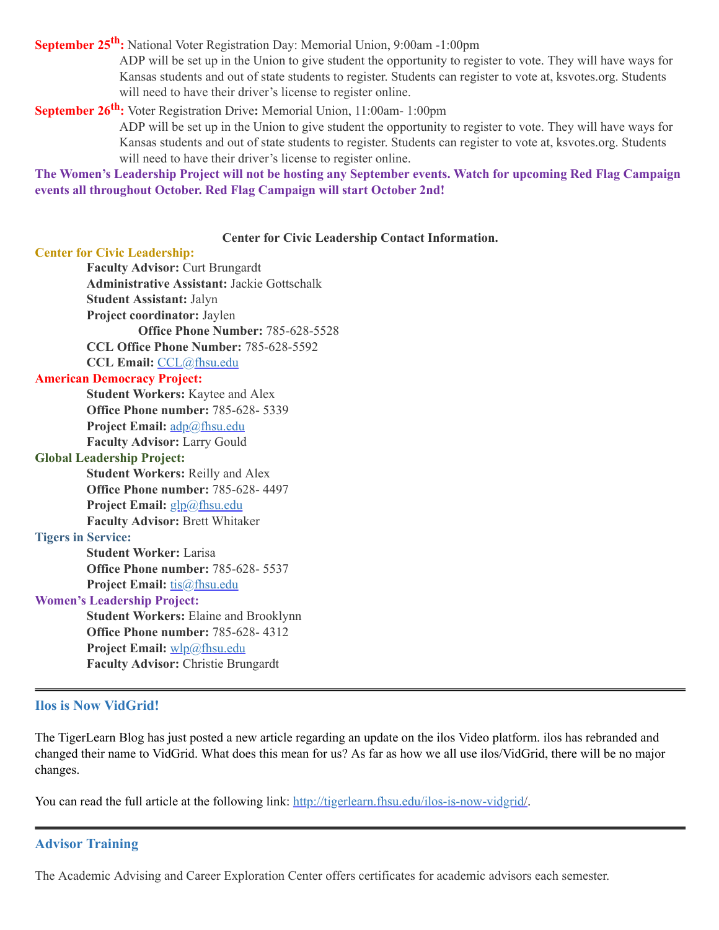**September 25 th :** National Voter Registration Day: Memorial Union, 9:00am -1:00pm

ADP will be set up in the Union to give student the opportunity to register to vote. They will have ways for Kansas students and out of state students to register. Students can register to vote at, ksvotes.org. Students will need to have their driver's license to register online.

## **September 26 th :** Voter Registration Drive**:** Memorial Union, 11:00am- 1:00pm

ADP will be set up in the Union to give student the opportunity to register to vote. They will have ways for Kansas students and out of state students to register. Students can register to vote at, ksvotes.org. Students will need to have their driver's license to register online.

The Women's Leadership Project will not be hosting any September events. Watch for upcoming Red Flag Campaign **events all throughout October. Red Flag Campaign will start October 2nd!**

#### **Center for Civic Leadership Contact Information.**

#### **Center for Civic Leadership:**

**Faculty Advisor:** Curt Brungardt **Administrative Assistant:** Jackie Gottschalk **Student Assistant:** Jalyn **Project coordinator:** Jaylen **Office Phone Number:** 785-628-5528 **CCL Office Phone Number:** 785-628-5592 **CCL Email:** [CCL@fhsu.edu](mailto:CCL@fhsu.edu) **American Democracy Project: Student Workers:** Kaytee and Alex **Office Phone number:** 785-628- 5339 **Project Email:** [adp@fhsu.edu](mailto:adp@fhsu.edu) **Faculty Advisor:** Larry Gould **Global Leadership Project: Student Workers:** Reilly and Alex **Office Phone number:** 785-628- 4497 **Project Email:** [glp@fhsu.edu](mailto:glp@fhsu.edu) **Faculty Advisor:** Brett Whitaker **Tigers in Service: Student Worker:** Larisa **Office Phone number:** 785-628- 5537 **Project Email:** [tis@fhsu.edu](mailto:tis@fhsu.edu) **Women's Leadership Project: Student Workers:** Elaine and Brooklynn

**Office Phone number:** 785-628- 4312 **Project Email:** [wlp@fhsu.edu](mailto:wlp@fhsu.edu) **Faculty Advisor:** Christie Brungardt

#### **Ilos is Now VidGrid!**

The TigerLearn Blog has just posted a new article regarding an update on the ilos Video platform. ilos has rebranded and changed their name to VidGrid. What does this mean for us? As far as how we all use ilos/VidGrid, there will be no major changes.

You can read the full article at the following link: [http://tigerlearn.fhsu.edu/ilos-is-now-vidgrid/.](http://tigerlearn.fhsu.edu/ilos-is-now-vidgrid/)

#### **Advisor Training**

The Academic Advising and Career Exploration Center offers certificates for academic advisors each semester.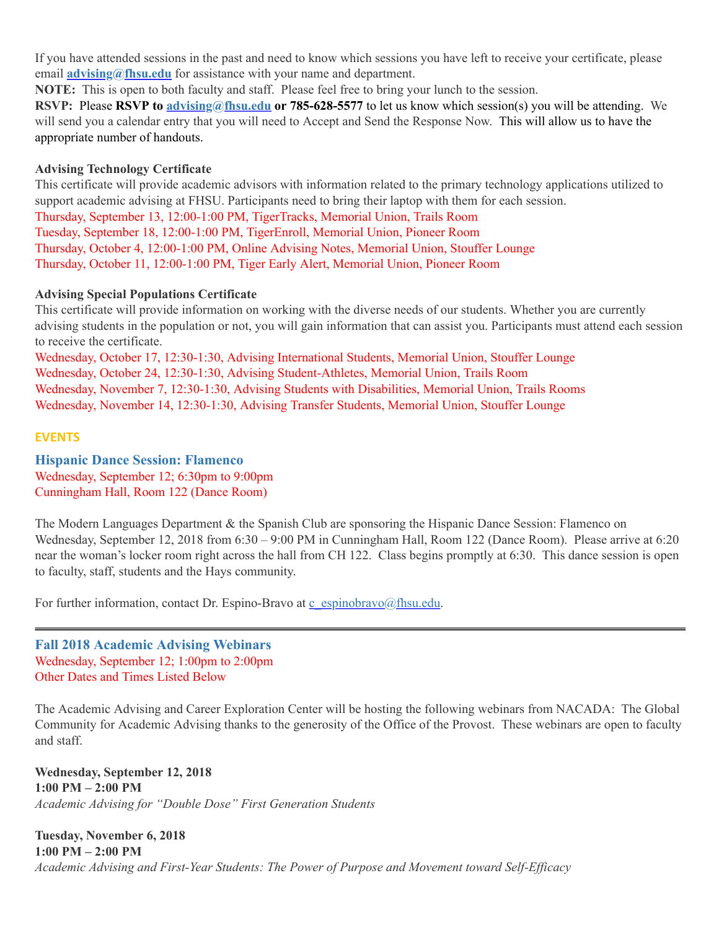If you have attended sessions in the past and need to know which sessions you have left to receive your certificate, please email **[advising@fhsu.edu](mailto:advising@fhsu.edu)** for assistance with your name and department.

**NOTE:** This is open to both faculty and staff. Please feel free to bring your lunch to the session.

**RSVP:** Please **RSVP to [advising@fhsu.edu](mailto:advising@fhsu.edu) or 785-628-5577** to let us know which session(s) you will be attending. We will send you a calendar entry that you will need to Accept and Send the Response Now. This will allow us to have the appropriate number of handouts.

#### **Advising Technology Certificate**

This certificate will provide academic advisors with information related to the primary technology applications utilized to support academic advising at FHSU. Participants need to bring their laptop with them for each session. Thursday, September 13, 12:00-1:00 PM, TigerTracks, Memorial Union, Trails Room Tuesday, September 18, 12:00-1:00 PM, TigerEnroll, Memorial Union, Pioneer Room Thursday, October 4, 12:00-1:00 PM, Online Advising Notes, Memorial Union, Stouffer Lounge Thursday, October 11, 12:00-1:00 PM, Tiger Early Alert, Memorial Union, Pioneer Room

#### <span id="page-11-0"></span>**Advising Special Populations Certificate**

This certificate will provide information on working with the diverse needs of our students. Whether you are currently advising students in the population or not, you will gain information that can assist you. Participants must attend each session to receive the certificate.

Wednesday, October 17, 12:30-1:30, Advising International Students, Memorial Union, Stouffer Lounge Wednesday, October 24, 12:30-1:30, Advising Student-Athletes, Memorial Union, Trails Room Wednesday, November 7, 12:30-1:30, Advising Students with Disabilities, Memorial Union, Trails Rooms Wednesday, November 14, 12:30-1:30, Advising Transfer Students, Memorial Union, Stouffer Lounge

#### **EVENTS**

**Hispanic Dance Session: Flamenco** Wednesday, September 12; 6:30pm to 9:00pm Cunningham Hall, Room 122 (Dance Room)

The Modern Languages Department & the Spanish Club are sponsoring the Hispanic Dance Session: Flamenco on Wednesday, September 12, 2018 from 6:30 – 9:00 PM in Cunningham Hall, Room 122 (Dance Room). Please arrive at 6:20 near the woman's locker room right across the hall from CH 122. Class begins promptly at 6:30. This dance session is open to faculty, staff, students and the Hays community.

<span id="page-11-1"></span>For further information, contact Dr. Espino-Bravo at  $\frac{c \text{ e spinobravo}(a)$ fhsu.edu.

**Fall 2018 Academic Advising Webinars** Wednesday, September 12; 1:00pm to 2:00pm Other Dates and Times Listed Below

The Academic Advising and Career Exploration Center will be hosting the following webinars from NACADA: The Global Community for Academic Advising thanks to the generosity of the Office of the Provost. These webinars are open to faculty and staff.

**Wednesday, September 12, 2018 1:00 PM – 2:00 PM** *Academic Advising for "Double Dose " First Generation Students*

**Tuesday, November 6, 2018 1:00 PM – 2:00 PM** *Academic Advising and First-Year Students: The Power of Purpose and Movement toward Self-Efficacy*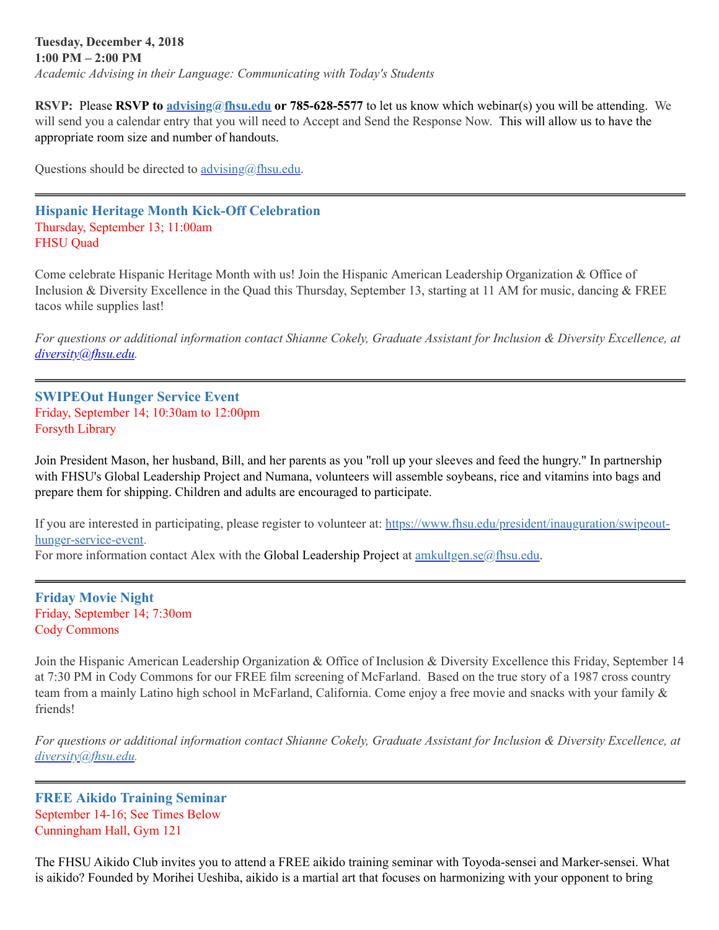#### **Tuesday, December 4, 2018 1:00 PM – 2:00 PM** *Academic Advising in their Language: Communicating with Today's Students*

**RSVP:** Please **RSVP to [advising@fhsu.edu](mailto:advising@fhsu.edu) or 785-628-5577** to let us know which webinar(s) you will be attending. We will send you a calendar entry that you will need to Accept and Send the Response Now. This will allow us to have the appropriate room size and number of handouts.

Questions should be directed to *[advising@fhsu.edu](mailto:advising@fhsu.edu).* 

#### **Hispanic Heritage Month Kick-Off Celebration** Thursday, September 13; 11:00am FHSU Quad

Come celebrate Hispanic Heritage Month with us! Join the Hispanic American Leadership Organization & Office of Inclusion & Diversity Excellence in the Quad this Thursday, September 13, starting at 11 AM for music, dancing & FREE tacos while supplies last!

For questions or additional information contact Shianne Cokely, Graduate Assistant for Inclusion & Diversity Excellence, at *[diversity@fhsu.edu.](mailto:diversity@fhsu.edu)*

#### **SWIPEOut Hunger Service Event** Friday, September 14; 10:30am to 12:00pm Forsyth Library

Join President Mason, her husband, Bill, and her parents as you "roll up your sleeves and feed the hungry. " In partnership with FHSU's Global Leadership Project and Numana, volunteers will assemble soybeans, rice and vitamins into bags and prepare them for shipping. Children and adults are encouraged to participate.

If you are interested in participating, please register to volunteer at: [https://www.fhsu.edu/president/inauguration/swipeout](https://www.fhsu.edu/president/inauguration/swipeout-hunger-service-event)hunger-service-event.

For more information contact Alex with the Global Leadership Project at **[amkultgen.se@fhsu.edu.](mailto:amkultgen.se@fhsu.edu)** 

**Friday Movie Night** Friday, September 14; 7:30om Cody Commons

Join the Hispanic American Leadership Organization & Office of Inclusion & Diversity Excellence this Friday, September 14 at 7:30 PM in Cody Commons for our FREE film screening of McFarland. Based on the true story of a 1987 cross country team from a mainly Latino high school in McFarland, California. Come enjoy a free movie and snacks with your family & friends!

For questions or additional information contact Shianne Cokely, Graduate Assistant for Inclusion & Diversity Excellence, at *[diversity@fhsu.edu.](mailto:diversity@fhsu.edu)*

**FREE Aikido Training Seminar** September 14-16; See Times Below Cunningham Hall, Gym 121

The FHSU Aikido Club invites you to attend a FREE aikido training seminar with Toyoda-sensei and Marker-sensei. What is aikido? Founded by Morihei Ueshiba, aikido is a martial art that focuses on harmonizing with your opponent to bring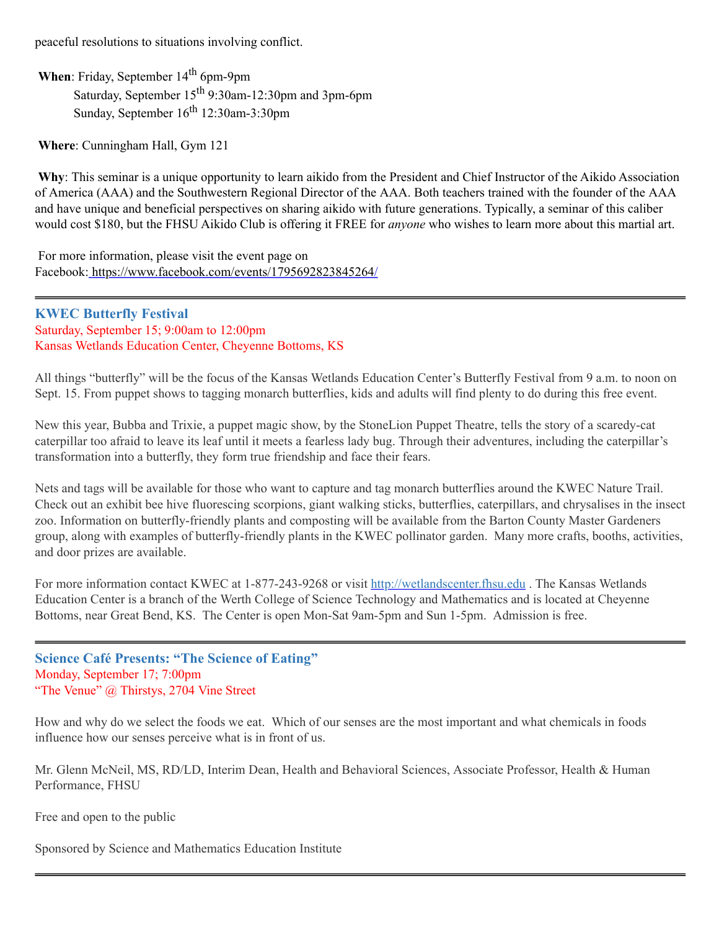peaceful resolutions to situations involving conflict.

When: Friday, September 14<sup>th</sup> 6pm-9pm Saturday, September 15<sup>th</sup> 9:30am-12:30pm and 3pm-6pm Sunday, September 16<sup>th</sup> 12:30am-3:30pm

<span id="page-13-0"></span>**Where**: Cunningham Hall, Gym 121

**Why**: This seminar is a unique opportunity to learn aikido from the President and Chief Instructor of the Aikido Association of America (AAA) and the Southwestern Regional Director of the AAA. Both teachers trained with the founder of the AAA and have unique and beneficial perspectives on sharing aikido with future generations. Typically, a seminar of this caliber would cost \$180, but the FHSU Aikido Club is offering it FREE for *anyone* who wishes to learn more about this martial art.

For more information, please visit the event page on Facebook: <https://www.facebook.com/events/1795692823845264/>

**KWEC Butterfly Festival** Saturday, September 15; 9:00am to 12:00pm Kansas Wetlands Education Center, Cheyenne Bottoms, KS

All things "butterfly" will be the focus of the Kansas Wetlands Education Center's Butterfly Festival from 9 a.m. to noon on Sept. 15. From puppet shows to tagging monarch butterflies, kids and adults will find plenty to do during this free event.

New this year, Bubba and Trixie, a puppet magic show, by the StoneLion Puppet Theatre, tells the story of a scaredy-cat caterpillar too afraid to leave its leaf until it meets a fearless lady bug. Through their adventures, including the caterpillar's transformation into a butterfly, they form true friendship and face their fears.

Nets and tags will be available for those who want to capture and tag monarch butterflies around the KWEC Nature Trail. Check out an exhibit bee hive fluorescing scorpions, giant walking sticks, butterflies, caterpillars, and chrysalises in the insect zoo. Information on butterfly-friendly plants and composting will be available from the Barton County Master Gardeners group, along with examples of butterfly-friendly plants in the KWEC pollinator garden. Many more crafts, booths, activities, and door prizes are available.

For more information contact KWEC at 1-877-243-9268 or visit [http://wetlandscenter.fhsu.edu](http://wetlandscenter.fhsu.edu/) . The Kansas Wetlands Education Center is a branch of the Werth College of Science Technology and Mathematics and is located at Cheyenne Bottoms, near Great Bend, KS. The Center is open Mon-Sat 9am-5pm and Sun 1-5pm. Admission is free.

**Science Café Presents: "The Science of Eating"** Monday, September 17; 7:00pm "The Venue" @ Thirstys, 2704 Vine Street

How and why do we select the foods we eat. Which of our senses are the most important and what chemicals in foods influence how our senses perceive what is in front of us.

Mr. Glenn McNeil, MS, RD/LD, Interim Dean, Health and Behavioral Sciences, Associate Professor, Health & Human Performance, FHSU

Free and open to the public

Sponsored by Science and Mathematics Education Institute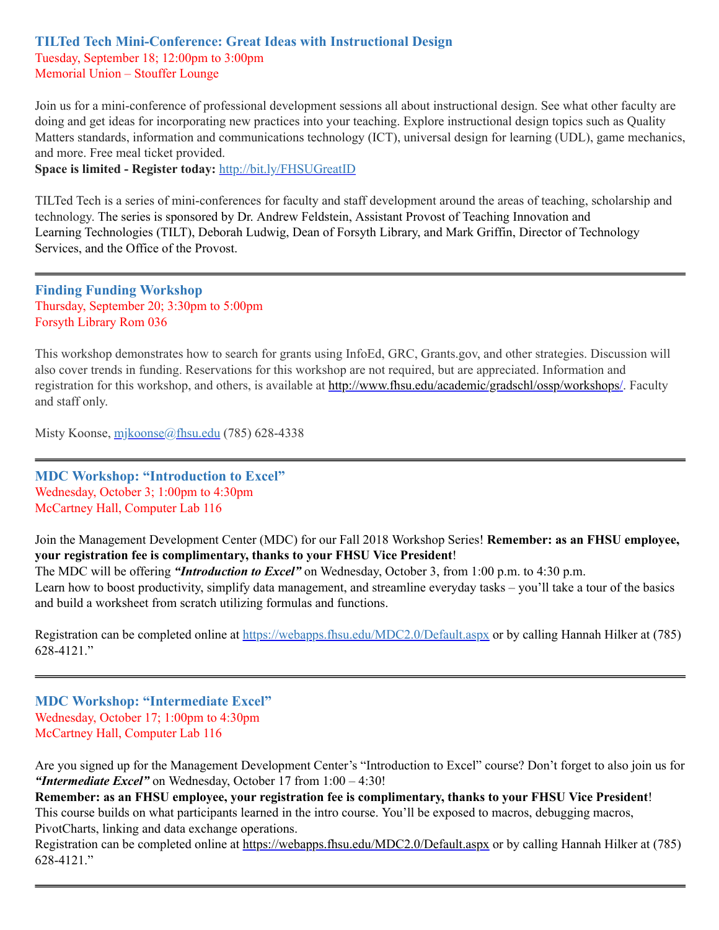## **TILTed Tech Mini-Conference: Great Ideas with Instructional Design** Tuesday, September 18; 12:00pm to 3:00pm Memorial Union – Stouffer Lounge

Join us for a mini-conference of professional development sessions all about instructional design. See what other faculty are doing and get ideas for incorporating new practices into your teaching. Explore instructional design topics such as Quality Matters standards, information and communications technology (ICT), universal design for learning (UDL), game mechanics, and more. Free meal ticket provided.

**Space is limited - Register today:** <http://bit.ly/FHSUGreatID>

TILTed Tech is a series of mini-conferences for faculty and staff development around the areas of teaching, scholarship and technology. The series is sponsored by Dr. Andrew Feldstein, Assistant Provost of Teaching Innovation and Learning Technologies (TILT), Deborah Ludwig, Dean of Forsyth Library, and Mark Griffin, Director of Technology Services, and the Office of the Provost.

**Finding Funding Workshop** Thursday, September 20; 3:30pm to 5:00pm Forsyth Library Rom 036

This workshop demonstrates how to search for grants using InfoEd, GRC, Grants.gov, and other strategies. Discussion will also cover trends in funding. Reservations for this workshop are not required, but are appreciated. Information and registration for this workshop, and others, is available at [http://www.fhsu.edu/academic/gradschl/ossp/workshops/.](http://www.fhsu.edu/academic/gradschl/ossp/workshops/) Faculty and staff only.

Misty Koonse, [mjkoonse@fhsu.edu](mailto:mjkoonse@fhsu.edu) (785) 628-4338

**MDC Workshop: "Introduction to Excel"** Wednesday, October 3; 1:00pm to 4:30pm McCartney Hall, Computer Lab 116

Join the Management Development Center (MDC) for our Fall 2018 Workshop Series! **Remember: as an FHSU employee, your registration fee is complimentary, thanks to your FHSU Vice President**!

The MDC will be offering *"Introduction to Excel"* on Wednesday, October 3, from 1:00 p.m. to 4:30 p.m.

Learn how to boost productivity, simplify data management, and streamline everyday tasks – you'll take a tour of the basics and build a worksheet from scratch utilizing formulas and functions.

Registration can be completed online at <https://webapps.fhsu.edu/MDC2.0/Default.aspx> or by calling Hannah Hilker at (785) 628-4121. "

**MDC Workshop: "Intermediate Excel"** Wednesday, October 17; 1:00pm to 4:30pm McCartney Hall, Computer Lab 116

Are you signed up for the Management Development Center's "Introduction to Excel" course? Don't forget to also join us for *"Intermediate Excel"* on Wednesday, October 17 from 1:00 – 4:30!

**Remember: as an FHSU employee, your registration fee is complimentary, thanks to your FHSU Vice President**! This course builds on what participants learned in the intro course. You'll be exposed to macros, debugging macros, PivotCharts, linking and data exchange operations.

Registration can be completed online at <https://webapps.fhsu.edu/MDC2.0/Default.aspx> or by calling Hannah Hilker at (785) 628-4121. "